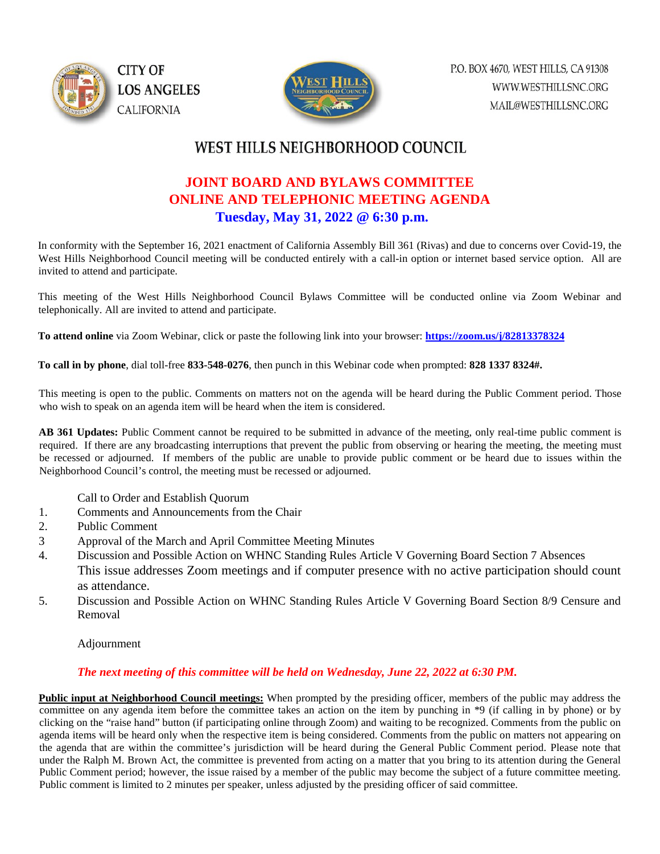



## WEST HILLS NEIGHBORHOOD COUNCIL

## **JOINT BOARD AND BYLAWS COMMITTEE ONLINE AND TELEPHONIC MEETING AGENDA Tuesday, May 31, 2022 @ 6:30 p.m.**

In conformity with the September 16, 2021 enactment of California Assembly Bill 361 (Rivas) and due to concerns over Covid-19, the West Hills Neighborhood Council meeting will be conducted entirely with a call-in option or internet based service option. All are invited to attend and participate.

This meeting of the West Hills Neighborhood Council Bylaws Committee will be conducted online via Zoom Webinar and telephonically. All are invited to attend and participate.

**To attend online** via Zoom Webinar, click or paste the following link into your browser: **<https://zoom.us/j/82813378324>**

**To call in by phone**, dial toll-free **833-548-0276**, then punch in this Webinar code when prompted: **828 1337 8324#.** 

This meeting is open to the public. Comments on matters not on the agenda will be heard during the Public Comment period. Those who wish to speak on an agenda item will be heard when the item is considered.

**AB 361 Updates:** Public Comment cannot be required to be submitted in advance of the meeting, only real-time public comment is required. If there are any broadcasting interruptions that prevent the public from observing or hearing the meeting, the meeting must be recessed or adjourned. If members of the public are unable to provide public comment or be heard due to issues within the Neighborhood Council's control, the meeting must be recessed or adjourned.

- Call to Order and Establish Quorum
- 1. Comments and Announcements from the Chair
- 2. Public Comment
- 3 Approval of the March and April Committee Meeting Minutes
- 4. Discussion and Possible Action on WHNC Standing Rules Article V Governing Board Section 7 Absences This issue addresses Zoom meetings and if computer presence with no active participation should count as attendance.
- 5. Discussion and Possible Action on WHNC Standing Rules Article V Governing Board Section 8/9 Censure and Removal

Adjournment

## *The next meeting of this committee will be held on Wednesday, June 22, 2022 at 6:30 PM.*

**Public input at Neighborhood Council meetings:** When prompted by the presiding officer, members of the public may address the committee on any agenda item before the committee takes an action on the item by punching in \*9 (if calling in by phone) or by clicking on the "raise hand" button (if participating online through Zoom) and waiting to be recognized. Comments from the public on agenda items will be heard only when the respective item is being considered. Comments from the public on matters not appearing on the agenda that are within the committee's jurisdiction will be heard during the General Public Comment period. Please note that under the Ralph M. Brown Act, the committee is prevented from acting on a matter that you bring to its attention during the General Public Comment period; however, the issue raised by a member of the public may become the subject of a future committee meeting. Public comment is limited to 2 minutes per speaker, unless adjusted by the presiding officer of said committee.